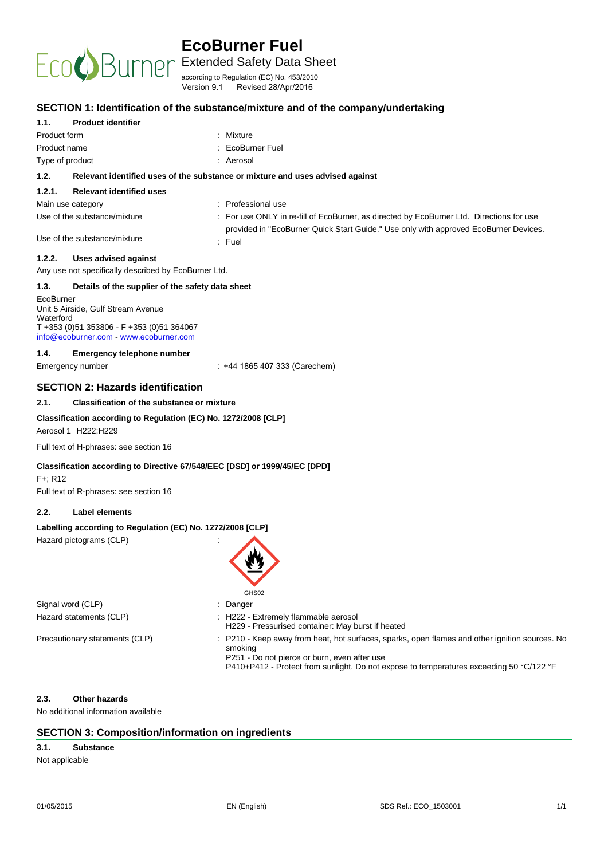

Extended Safety Data Sheet

according to Regulation (EC) No. 453/2010 Version 9.1 Revised 28/Apr/2016

| Version 9.1                                                                | Revised 28/Apr/2016                                                                                                                                 |
|----------------------------------------------------------------------------|-----------------------------------------------------------------------------------------------------------------------------------------------------|
|                                                                            | SECTION 1: Identification of the substance/mixture and of the company/undertaking                                                                   |
| 1.1.<br><b>Product identifier</b>                                          |                                                                                                                                                     |
| Product form                                                               | : Mixture                                                                                                                                           |
| Product name                                                               | : EcoBurner Fuel                                                                                                                                    |
| Type of product                                                            | : Aerosol                                                                                                                                           |
| 1.2.                                                                       | Relevant identified uses of the substance or mixture and uses advised against                                                                       |
| 1.2.1.<br><b>Relevant identified uses</b>                                  |                                                                                                                                                     |
| Main use category                                                          | : Professional use                                                                                                                                  |
| Use of the substance/mixture                                               | : For use ONLY in re-fill of EcoBurner, as directed by EcoBurner Ltd. Directions for use                                                            |
|                                                                            | provided in "EcoBurner Quick Start Guide." Use only with approved EcoBurner Devices.                                                                |
| Use of the substance/mixture                                               | $:$ Fuel                                                                                                                                            |
| 1.2.2.<br><b>Uses advised against</b>                                      |                                                                                                                                                     |
| Any use not specifically described by EcoBurner Ltd.                       |                                                                                                                                                     |
| 1.3.<br>Details of the supplier of the safety data sheet                   |                                                                                                                                                     |
| EcoBurner                                                                  |                                                                                                                                                     |
| Unit 5 Airside, Gulf Stream Avenue<br>Waterford                            |                                                                                                                                                     |
| T +353 (0)51 353806 - F +353 (0)51 364067                                  |                                                                                                                                                     |
| info@ecoburner.com - www.ecoburner.com                                     |                                                                                                                                                     |
| 1.4.<br>Emergency telephone number                                         |                                                                                                                                                     |
| Emergency number                                                           | : +44 1865 407 333 (Carechem)                                                                                                                       |
| <b>SECTION 2: Hazards identification</b>                                   |                                                                                                                                                     |
| 2.1.<br><b>Classification of the substance or mixture</b>                  |                                                                                                                                                     |
| Classification according to Regulation (EC) No. 1272/2008 [CLP]            |                                                                                                                                                     |
| Aerosol 1 H222; H229                                                       |                                                                                                                                                     |
| Full text of H-phrases: see section 16                                     |                                                                                                                                                     |
| Classification according to Directive 67/548/EEC [DSD] or 1999/45/EC [DPD] |                                                                                                                                                     |
| $F +: R12$                                                                 |                                                                                                                                                     |
| Full text of R-phrases: see section 16                                     |                                                                                                                                                     |
| 2.2.<br>Label elements                                                     |                                                                                                                                                     |
| Labelling according to Regulation (EC) No. 1272/2008 [CLP]                 |                                                                                                                                                     |
| Hazard pictograms (CLP)                                                    | $\overline{\phantom{a}}$                                                                                                                            |
|                                                                            |                                                                                                                                                     |
|                                                                            |                                                                                                                                                     |
|                                                                            |                                                                                                                                                     |
|                                                                            | GHS02                                                                                                                                               |
| Signal word (CLP)                                                          | : Danger                                                                                                                                            |
| Hazard statements (CLP)                                                    | : H222 - Extremely flammable aerosol                                                                                                                |
| Precautionary statements (CLP)                                             | H229 - Pressurised container: May burst if heated<br>: P210 - Keep away from heat, hot surfaces, sparks, open flames and other ignition sources. No |
|                                                                            | smoking                                                                                                                                             |
|                                                                            | P251 - Do not pierce or burn, even after use<br>P410+P412 - Protect from sunlight. Do not expose to temperatures exceeding 50 °C/122 °F             |
|                                                                            |                                                                                                                                                     |
|                                                                            |                                                                                                                                                     |
| <b>Other hazards</b><br>2.3.                                               |                                                                                                                                                     |
| No additional information available                                        |                                                                                                                                                     |
|                                                                            |                                                                                                                                                     |

## **SECTION 3: Composition/information on ingredients**

## **3.1. Substance**

Not applicable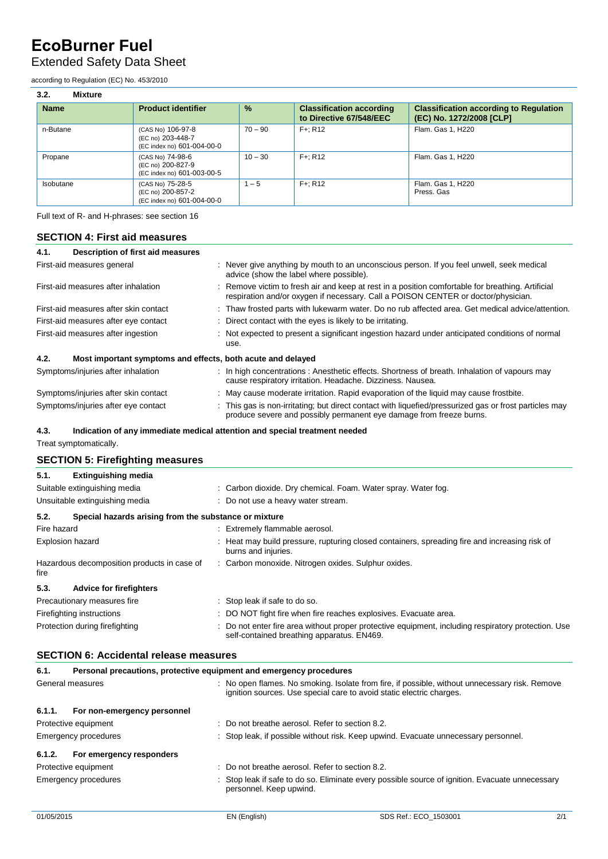## Extended Safety Data Sheet

according to Regulation (EC) No. 453/2010

| 3.2.<br><b>Mixture</b> |                                                                      |               |                                                            |                                                                           |
|------------------------|----------------------------------------------------------------------|---------------|------------------------------------------------------------|---------------------------------------------------------------------------|
| <b>Name</b>            | <b>Product identifier</b>                                            | $\frac{9}{6}$ | <b>Classification according</b><br>to Directive 67/548/EEC | <b>Classification according to Regulation</b><br>(EC) No. 1272/2008 [CLP] |
| n-Butane               | (CAS No) 106-97-8<br>(EC no) 203-448-7<br>(EC index no) 601-004-00-0 | $70 - 90$     | $F +: R12$                                                 | Flam. Gas 1, H220                                                         |
| Propane                | (CAS No) 74-98-6<br>(EC no) 200-827-9<br>(EC index no) 601-003-00-5  | $10 - 30$     | $F +: R12$                                                 | Flam. Gas 1, H220                                                         |
| Isobutane              | (CAS No) 75-28-5<br>(EC no) 200-857-2<br>(EC index no) 601-004-00-0  | $1 - 5$       | $F +: R12$                                                 | Flam. Gas 1, H220<br>Press, Gas                                           |

Full text of R- and H-phrases: see section 16

## **SECTION 4: First aid measures**

| 4.1. | Description of first aid measures                           |                                                                                                                                                                                                                               |
|------|-------------------------------------------------------------|-------------------------------------------------------------------------------------------------------------------------------------------------------------------------------------------------------------------------------|
|      | First-aid measures general                                  | : Never give anything by mouth to an unconscious person. If you feel unwell, seek medical<br>advice (show the label where possible).                                                                                          |
|      | First-aid measures after inhalation                         | : Remove victim to fresh air and keep at rest in a position comfortable for breathing. Artificial<br>respiration and/or oxygen if necessary. Call a POISON CENTER or doctor/physician.                                        |
|      | First-aid measures after skin contact                       | : Thaw frosted parts with lukewarm water. Do no rub affected area. Get medical advice/attention.                                                                                                                              |
|      | First-aid measures after eye contact                        | : Direct contact with the eyes is likely to be irritating.                                                                                                                                                                    |
|      | First-aid measures after ingestion                          | : Not expected to present a significant ingestion hazard under anticipated conditions of normal<br>use.                                                                                                                       |
| 4.2. | Most important symptoms and effects, both acute and delayed |                                                                                                                                                                                                                               |
|      | Symptoms/injuries after inhalation                          | : In high concentrations: Anesthetic effects. Shortness of breath. Inhalation of vapours may<br>cause respiratory irritation. Headache. Dizziness. Nausea.                                                                    |
|      |                                                             | . The contract of the contract of the contract of the contract of the contract of the contract of the contract of the contract of the contract of the contract of the contract of the contract of the contract of the contrac |

| Symptoms/injuries after skin contact | May cause moderate irritation. Rapid evaporation of the liquid may cause frostbite.                  |
|--------------------------------------|------------------------------------------------------------------------------------------------------|
| Symptoms/injuries after eye contact  | This gas is non-irritating; but direct contact with liquefied/pressurized gas or frost particles may |
|                                      | produce severe and possibly permanent eye damage from freeze burns.                                  |

## **4.3. Indication of any immediate medical attention and special treatment needed**

Treat symptomatically.

## **SECTION 5: Firefighting measures**

| 5.1.        | <b>Extinguishing media</b>                            |                                                                                                                                                 |
|-------------|-------------------------------------------------------|-------------------------------------------------------------------------------------------------------------------------------------------------|
|             | Suitable extinguishing media                          | : Carbon dioxide. Dry chemical. Foam. Water spray. Water fog.                                                                                   |
|             | Unsuitable extinguishing media                        | : Do not use a heavy water stream.                                                                                                              |
| 5.2.        | Special hazards arising from the substance or mixture |                                                                                                                                                 |
| Fire hazard |                                                       | : Extremely flammable aerosol.                                                                                                                  |
|             | <b>Explosion hazard</b>                               | : Heat may build pressure, rupturing closed containers, spreading fire and increasing risk of<br>burns and injuries.                            |
| fire        | Hazardous decomposition products in case of           | : Carbon monoxide. Nitrogen oxides. Sulphur oxides.                                                                                             |
| 5.3.        | <b>Advice for firefighters</b>                        |                                                                                                                                                 |
|             | Precautionary measures fire                           | : Stop leak if safe to do so.                                                                                                                   |
|             | Firefighting instructions                             | : DO NOT fight fire when fire reaches explosives. Evacuate area.                                                                                |
|             | Protection during firefighting                        | Do not enter fire area without proper protective equipment, including respiratory protection. Use<br>self-contained breathing apparatus. EN469. |

## **SECTION 6: Accidental release measures**

| 6.1.             | Personal precautions, protective equipment and emergency procedures |  |                                                                                                                                                                        |  |  |  |  |
|------------------|---------------------------------------------------------------------|--|------------------------------------------------------------------------------------------------------------------------------------------------------------------------|--|--|--|--|
| General measures |                                                                     |  | : No open flames. No smoking. Isolate from fire, if possible, without unnecessary risk. Remove<br>ignition sources. Use special care to avoid static electric charges. |  |  |  |  |
| 6.1.1.           | For non-emergency personnel                                         |  |                                                                                                                                                                        |  |  |  |  |
|                  | Protective equipment                                                |  | $\therefore$ Do not breathe aerosol. Refer to section 8.2.                                                                                                             |  |  |  |  |
|                  | Emergency procedures                                                |  | : Stop leak, if possible without risk. Keep upwind. Evacuate unnecessary personnel.                                                                                    |  |  |  |  |
| 6.1.2.           | For emergency responders                                            |  |                                                                                                                                                                        |  |  |  |  |
|                  | Protective equipment                                                |  | : Do not breathe aerosol. Refer to section 8.2.                                                                                                                        |  |  |  |  |
|                  | Emergency procedures                                                |  | : Stop leak if safe to do so. Eliminate every possible source of ignition. Evacuate unnecessary<br>personnel. Keep upwind.                                             |  |  |  |  |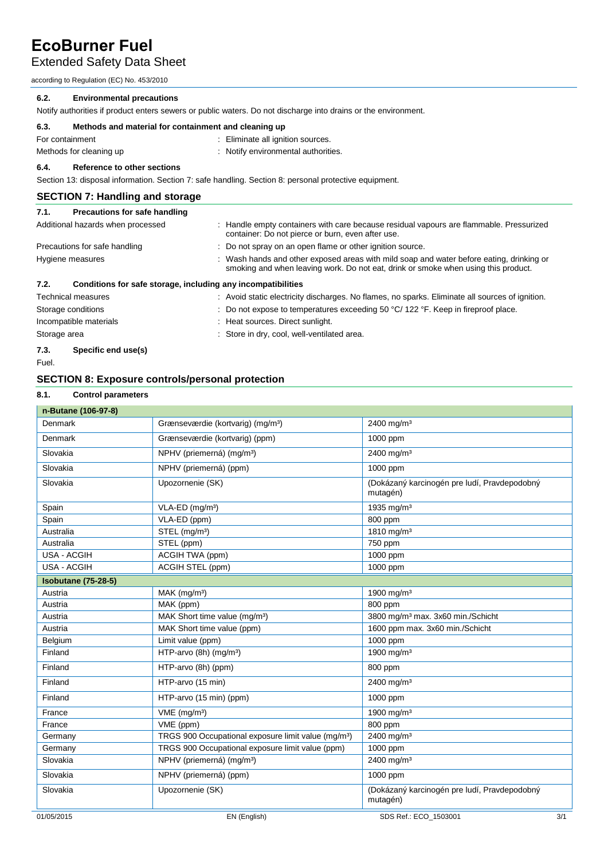Extended Safety Data Sheet

according to Regulation (EC) No. 453/2010

## **6.2. Environmental precautions**

Notify authorities if product enters sewers or public waters. Do not discharge into drains or the environment.

| 6.3. | Methods and material for containment and cleaning up |
|------|------------------------------------------------------|
|      |                                                      |

For containment **intervalled For containment**  $\qquad \qquad$  : Eliminate all ignition sources. Methods for cleaning up **interpretental** authorities.

## **6.4. Reference to other sections**

Section 13: disposal information. Section 7: safe handling. Section 8: personal protective equipment.

## **SECTION 7: Handling and storage**

| 7.1.                      | Precautions for safe handling                                |                                                                                                                                                                                |
|---------------------------|--------------------------------------------------------------|--------------------------------------------------------------------------------------------------------------------------------------------------------------------------------|
|                           | Additional hazards when processed                            | : Handle empty containers with care because residual vapours are flammable. Pressurized<br>container: Do not pierce or burn, even after use.                                   |
|                           | Precautions for safe handling                                | : Do not spray on an open flame or other ignition source.                                                                                                                      |
| Hygiene measures          |                                                              | : Wash hands and other exposed areas with mild soap and water before eating, drinking or<br>smoking and when leaving work. Do not eat, drink or smoke when using this product. |
| 7.2.                      | Conditions for safe storage, including any incompatibilities |                                                                                                                                                                                |
| <b>Technical measures</b> |                                                              | : Avoid static electricity discharges. No flames, no sparks. Eliminate all sources of ignition.                                                                                |
| Storage conditions        |                                                              | : Do not expose to temperatures exceeding 50 $^{\circ}$ C/ 122 $^{\circ}$ F. Keep in fireproof place.                                                                          |
|                           | Incompatible materials                                       | : Heat sources. Direct sunlight.                                                                                                                                               |
| Storage area              |                                                              | : Store in dry, cool, well-ventilated area.                                                                                                                                    |
| 7.3.                      | Specific end use(s)                                          |                                                                                                                                                                                |

Fuel.

## **SECTION 8: Exposure controls/personal protection**

## **8.1. Control parameters**

| n-Butane (106-97-8)        |                                                                 |                                                          |     |
|----------------------------|-----------------------------------------------------------------|----------------------------------------------------------|-----|
| Denmark                    | Grænseværdie (kortvarig) (mg/m <sup>3</sup> )                   | 2400 mg/m <sup>3</sup>                                   |     |
| Denmark                    | Grænseværdie (kortvarig) (ppm)                                  | 1000 ppm                                                 |     |
| Slovakia                   | NPHV (priemerná) (mg/m <sup>3</sup> )                           | 2400 mg/m <sup>3</sup>                                   |     |
| Slovakia                   | NPHV (priemerná) (ppm)                                          | 1000 ppm                                                 |     |
| Slovakia                   | Upozornenie (SK)                                                | (Dokázaný karcinogén pre ludí, Pravdepodobný<br>mutagén) |     |
| Spain                      | $VLA-ED$ (mg/m <sup>3</sup> )                                   | 1935 mg/m <sup>3</sup>                                   |     |
| Spain                      | VLA-ED (ppm)                                                    | 800 ppm                                                  |     |
| Australia                  | STEL (mg/m <sup>3</sup> )                                       | 1810 mg/m <sup>3</sup>                                   |     |
| Australia                  | STEL (ppm)                                                      | 750 ppm                                                  |     |
| <b>USA - ACGIH</b>         | ACGIH TWA (ppm)                                                 | 1000 ppm                                                 |     |
| <b>USA - ACGIH</b>         | ACGIH STEL (ppm)                                                | 1000 ppm                                                 |     |
| <b>Isobutane (75-28-5)</b> |                                                                 |                                                          |     |
| Austria                    | MAK (mg/m <sup>3</sup> )                                        | 1900 mg/m <sup>3</sup>                                   |     |
| Austria                    | MAK (ppm)                                                       | 800 ppm                                                  |     |
| Austria                    | MAK Short time value (mg/m <sup>3</sup> )                       | 3800 mg/m <sup>3</sup> max. 3x60 min./Schicht            |     |
| Austria                    | MAK Short time value (ppm)                                      | 1600 ppm max. 3x60 min./Schicht                          |     |
| Belgium                    | Limit value (ppm)                                               | 1000 ppm                                                 |     |
| Finland                    | HTP-arvo (8h) (mg/m <sup>3</sup> )                              | 1900 mg/m <sup>3</sup>                                   |     |
| Finland                    | HTP-arvo (8h) (ppm)                                             | 800 ppm                                                  |     |
| Finland                    | HTP-arvo (15 min)                                               | 2400 mg/m <sup>3</sup>                                   |     |
| Finland                    | HTP-arvo (15 min) (ppm)                                         | 1000 ppm                                                 |     |
| France                     | $VME$ (mg/m <sup>3</sup> )                                      | 1900 mg/m <sup>3</sup>                                   |     |
| France                     | VME (ppm)                                                       | 800 ppm                                                  |     |
| Germany                    | TRGS 900 Occupational exposure limit value (mg/m <sup>3</sup> ) | 2400 mg/m <sup>3</sup>                                   |     |
| Germany                    | TRGS 900 Occupational exposure limit value (ppm)                | 1000 ppm                                                 |     |
| Slovakia                   | NPHV (priemerná) (mg/m <sup>3</sup> )                           | 2400 mg/m <sup>3</sup>                                   |     |
| Slovakia                   | NPHV (priemerná) (ppm)                                          | 1000 ppm                                                 |     |
| Slovakia                   | Upozornenie (SK)                                                | (Dokázaný karcinogén pre ludí, Pravdepodobný<br>mutagén) |     |
| 01/05/2015                 | EN (English)                                                    | SDS Ref.: ECO_1503001                                    | 3/1 |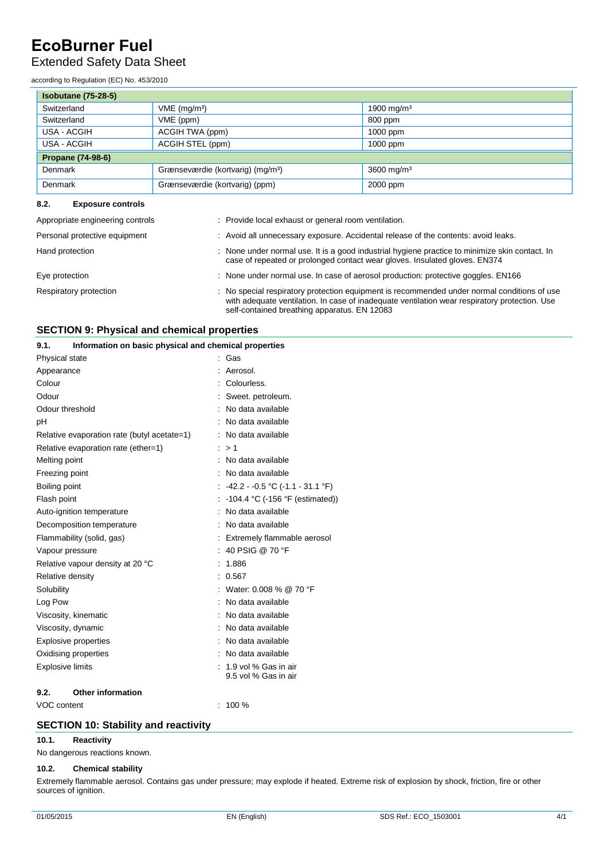## Extended Safety Data Sheet

according to Regulation (EC) No. 453/2010

| <b>Isobutane (75-28-5)</b> |                                               |                        |
|----------------------------|-----------------------------------------------|------------------------|
| Switzerland                | $VME$ (mg/m <sup>3</sup> )                    | 1900 mg/m <sup>3</sup> |
| Switzerland                | VME (ppm)                                     | 800 ppm                |
| USA - ACGIH                | ACGIH TWA (ppm)                               | $1000$ ppm             |
| USA - ACGIH                | ACGIH STEL (ppm)                              | $1000$ ppm             |
| <b>Propane (74-98-6)</b>   |                                               |                        |
| <b>Denmark</b>             | Grænseværdie (kortvarig) (mg/m <sup>3</sup> ) | 3600 mg/m <sup>3</sup> |
| <b>Denmark</b>             | Grænseværdie (kortvarig) (ppm)                | 2000 ppm               |

## **8.2. Exposure controls**

| Appropriate engineering controls | : Provide local exhaust or general room ventilation.                                                                                                                                                                                         |
|----------------------------------|----------------------------------------------------------------------------------------------------------------------------------------------------------------------------------------------------------------------------------------------|
| Personal protective equipment    | : Avoid all unnecessary exposure. Accidental release of the contents: avoid leaks.                                                                                                                                                           |
| Hand protection                  | : None under normal use. It is a good industrial hygiene practice to minimize skin contact. In<br>case of repeated or prolonged contact wear gloves. Insulated gloves. EN374                                                                 |
| Eye protection                   | : None under normal use. In case of aerosol production: protective goggles. EN166                                                                                                                                                            |
| Respiratory protection           | : No special respiratory protection equipment is recommended under normal conditions of use<br>with adequate ventilation. In case of inadequate ventilation wear respiratory protection. Use<br>self-contained breathing apparatus. EN 12083 |

## **SECTION 9: Physical and chemical properties**

| 9.1.                    | Information on basic physical and chemical properties |  |                                                 |
|-------------------------|-------------------------------------------------------|--|-------------------------------------------------|
| Physical state          |                                                       |  | Gas                                             |
| Appearance              |                                                       |  | Aerosol.                                        |
| Colour                  |                                                       |  | Colourless.                                     |
| Odour                   |                                                       |  | Sweet. petroleum.                               |
| Odour threshold         |                                                       |  | No data available                               |
| рH                      |                                                       |  | No data available                               |
|                         | Relative evaporation rate (butyl acetate=1)           |  | No data available                               |
|                         | Relative evaporation rate (ether=1)                   |  | >1                                              |
| Melting point           |                                                       |  | No data available                               |
| Freezing point          |                                                       |  | No data available                               |
| Boiling point           |                                                       |  | $-42.2 - 0.5 \degree C (-1.1 - 31.1 \degree F)$ |
| Flash point             |                                                       |  | -104.4 °C (-156 °F (estimated))                 |
|                         | Auto-ignition temperature                             |  | No data available                               |
|                         | Decomposition temperature                             |  | No data available                               |
|                         | Flammability (solid, gas)                             |  | Extremely flammable aerosol                     |
| Vapour pressure         |                                                       |  | 40 PSIG @ 70 °F                                 |
|                         | Relative vapour density at 20 °C                      |  | 1.886                                           |
| Relative density        |                                                       |  | 0.567                                           |
| Solubility              |                                                       |  | Water: 0.008 % @ 70 °F                          |
| Log Pow                 |                                                       |  | No data available                               |
|                         | Viscosity, kinematic                                  |  | No data available                               |
| Viscosity, dynamic      |                                                       |  | No data available                               |
|                         | <b>Explosive properties</b>                           |  | No data available                               |
|                         | Oxidising properties                                  |  | No data available                               |
| <b>Explosive limits</b> |                                                       |  | 1.9 vol % Gas in air                            |
|                         |                                                       |  | 9.5 vol % Gas in air                            |
| 9.2.                    | <b>Other information</b>                              |  |                                                 |

VOC content : 100 %

## **SECTION 10: Stability and reactivity**

## **10.1. Reactivity**

No dangerous reactions known.

## **10.2. Chemical stability**

Extremely flammable aerosol. Contains gas under pressure; may explode if heated. Extreme risk of explosion by shock, friction, fire or other sources of ignition.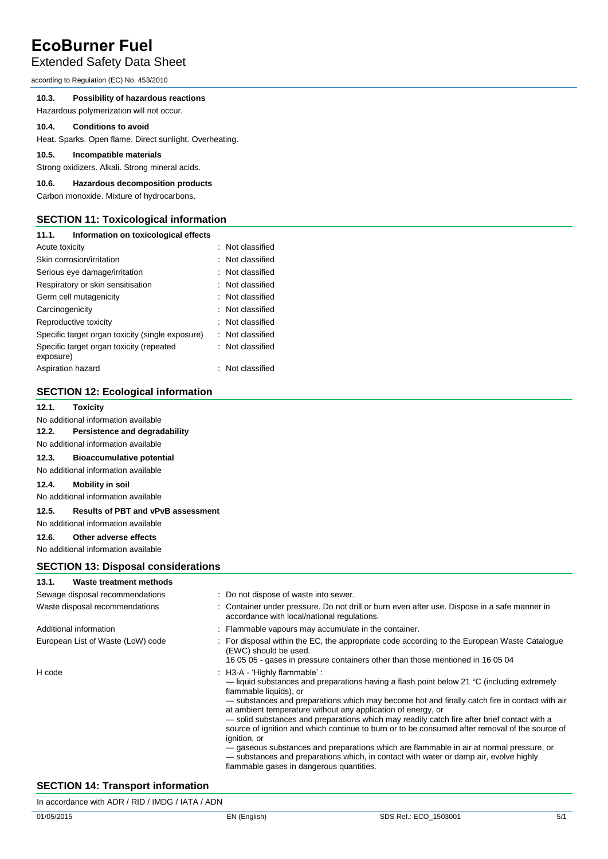## Extended Safety Data Sheet

according to Regulation (EC) No. 453/2010

## **10.3. Possibility of hazardous reactions**

Hazardous polymerization will not occur.

#### **10.4. Conditions to avoid**

Heat. Sparks. Open flame. Direct sunlight. Overheating.

## **10.5. Incompatible materials**

Strong oxidizers. Alkali. Strong mineral acids.

## **10.6. Hazardous decomposition products**

Carbon monoxide. Mixture of hydrocarbons.

## **SECTION 11: Toxicological information**

| 11.1.             | Information on toxicological effects             |                  |
|-------------------|--------------------------------------------------|------------------|
| Acute toxicity    |                                                  | : Not classified |
|                   | Skin corrosion/irritation                        | : Not classified |
|                   | Serious eye damage/irritation                    | : Not classified |
|                   | Respiratory or skin sensitisation                | : Not classified |
|                   | Germ cell mutagenicity                           | : Not classified |
| Carcinogenicity   |                                                  | : Not classified |
|                   | Reproductive toxicity                            | : Not classified |
|                   | Specific target organ toxicity (single exposure) | : Not classified |
| exposure)         | Specific target organ toxicity (repeated         | : Not classified |
| Aspiration hazard |                                                  | : Not classified |

## **SECTION 12: Ecological information**

## **12.1. Toxicity**

No additional information available

## **12.2. Persistence and degradability**

## No additional information available

**12.3. Bioaccumulative potential** 

## No additional information available

#### **12.4. Mobility in soil**

No additional information available

## **12.5. Results of PBT and vPvB assessment**

No additional information available

## **12.6. Other adverse effects**

No additional information available

## **SECTION 13: Disposal considerations**

## **13.1. Waste treatment methods**

| Sewage disposal recommendations   | : Do not dispose of waste into sewer.                                                                                                                                                                                                                                                                                                                                                                                                                                                                                                                                                                                                                                                                                                                                            |
|-----------------------------------|----------------------------------------------------------------------------------------------------------------------------------------------------------------------------------------------------------------------------------------------------------------------------------------------------------------------------------------------------------------------------------------------------------------------------------------------------------------------------------------------------------------------------------------------------------------------------------------------------------------------------------------------------------------------------------------------------------------------------------------------------------------------------------|
| Waste disposal recommendations    | : Container under pressure. Do not drill or burn even after use. Dispose in a safe manner in<br>accordance with local/national regulations.                                                                                                                                                                                                                                                                                                                                                                                                                                                                                                                                                                                                                                      |
| Additional information            | : Flammable vapours may accumulate in the container.                                                                                                                                                                                                                                                                                                                                                                                                                                                                                                                                                                                                                                                                                                                             |
| European List of Waste (LoW) code | : For disposal within the EC, the appropriate code according to the European Waste Catalogue<br>(EWC) should be used.<br>16 05 05 - gases in pressure containers other than those mentioned in 16 05 04                                                                                                                                                                                                                                                                                                                                                                                                                                                                                                                                                                          |
| H code                            | : H3-A - 'Highly flammable' :<br>— liquid substances and preparations having a flash point below 21 $\degree$ C (including extremely<br>flammable liquids), or<br>— substances and preparations which may become hot and finally catch fire in contact with air<br>at ambient temperature without any application of energy, or<br>- solid substances and preparations which may readily catch fire after brief contact with a<br>source of ignition and which continue to burn or to be consumed after removal of the source of<br>ignition, or<br>- gaseous substances and preparations which are flammable in air at normal pressure, or<br>- substances and preparations which, in contact with water or damp air, evolve highly<br>flammable gases in dangerous quantities. |

## **SECTION 14: Transport information**

| In accordance with ADR / RID / IMDG / IATA / ADN |  |  |  |
|--------------------------------------------------|--|--|--|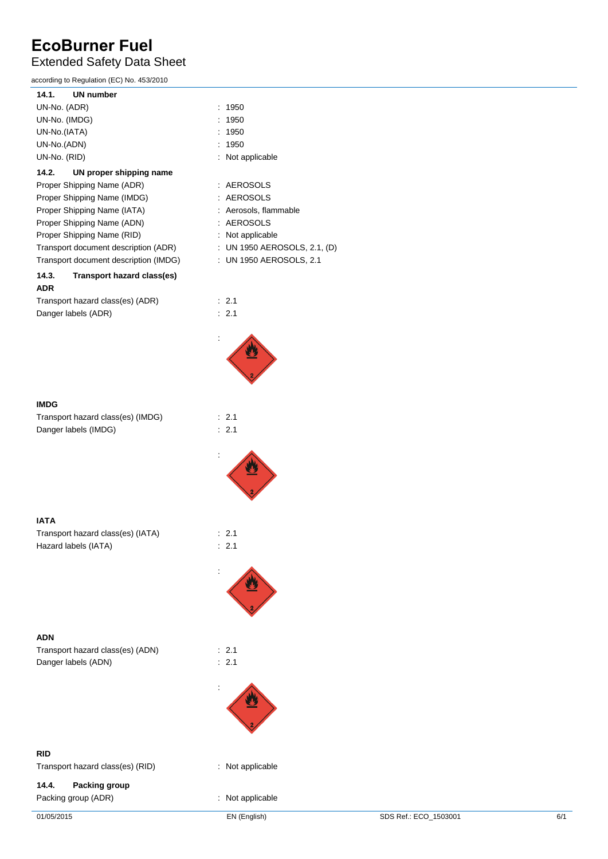## Extended Safety Data Sheet

according to Regulation (EC) No. 453/2010

| 1950<br>t                    |
|------------------------------|
| 1950                         |
| 1950                         |
| 1950                         |
| Not applicable               |
|                              |
| AEROSOLS                     |
| <b>AEROSOLS</b>              |
| Aerosols, flammable          |
| AEROSOLS                     |
| Not applicable               |
| : UN 1950 AEROSOLS, 2.1, (D) |
| : UN 1950 AEROSOLS, 2.1      |
|                              |
|                              |
| : 2.1                        |
| 2.1                          |
|                              |



## **IMDG**

| Transport hazard class(es) (IMDG) |  |
|-----------------------------------|--|
| Danger labels (IMDG)              |  |



 $\therefore$  2.1  $\therefore$  2.1

 $\therefore$  2.1

:

:

| --------                          |                  |
|-----------------------------------|------------------|
| Transport hazard class(es) (IATA) | $\therefore$ 2.1 |
| Hazard labels (IATA)              | $\therefore$ 2.1 |

**ADN** Transport hazard class(es) (ADN) : 2.1 Danger labels (ADN) : 2.1

**RID**

Transport hazard class(es) (RID) : Not applicable

## **14.4. Packing group** Packing group (ADR) **in the case of the case of the case of the case of the case of the case of the case of the case of the case of the case of the case of the case of the case of the case of the case of the case of the ca**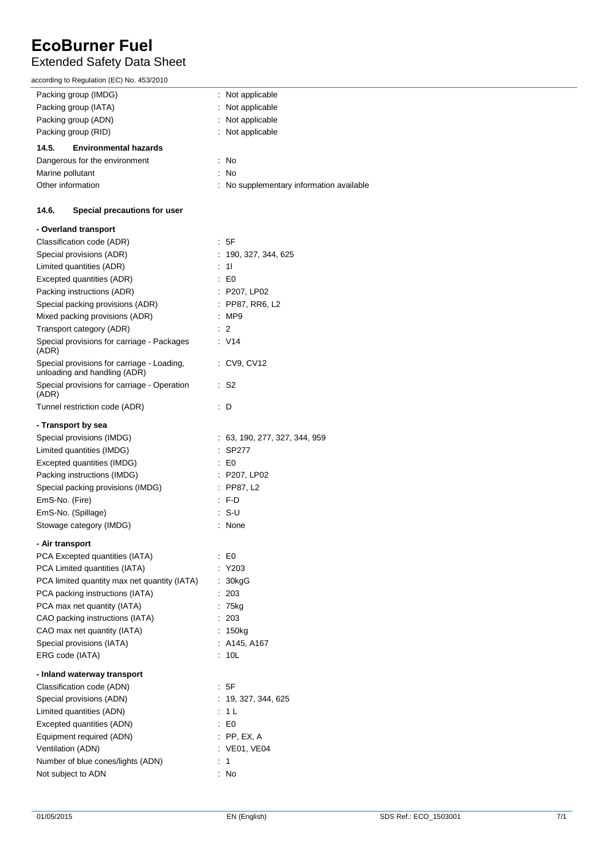## Extended Safety Data Sheet

according to Regulation (EC) No. 453/2010

| ccording to Regulation (EC) No. 455/2010                                   |                                          |
|----------------------------------------------------------------------------|------------------------------------------|
| Packing group (IMDG)                                                       | Not applicable                           |
| Packing group (IATA)                                                       | Not applicable                           |
| Packing group (ADN)                                                        | Not applicable                           |
| Packing group (RID)                                                        | Not applicable                           |
| 14.5.<br><b>Environmental hazards</b>                                      |                                          |
| Dangerous for the environment                                              | : No                                     |
| Marine pollutant                                                           | : No                                     |
| Other information                                                          | : No supplementary information available |
| 14.6.<br>Special precautions for user                                      |                                          |
| - Overland transport                                                       |                                          |
| Classification code (ADR)                                                  | $\therefore$ 5F                          |
| Special provisions (ADR)                                                   | : 190, 327, 344, 625                     |
| Limited quantities (ADR)                                                   | $\therefore$ 11                          |
| Excepted quantities (ADR)                                                  | $\pm 50$                                 |
| Packing instructions (ADR)                                                 | : P207, LP02                             |
| Special packing provisions (ADR)                                           | : PP87, RR6, L2                          |
| Mixed packing provisions (ADR)                                             | : MP9                                    |
| Transport category (ADR)                                                   | $\therefore$ 2                           |
| Special provisions for carriage - Packages<br>(ADR)                        | $\cdot$ V14                              |
| Special provisions for carriage - Loading,<br>unloading and handling (ADR) | : CV9, CV12                              |
| Special provisions for carriage - Operation<br>(ADR)                       | $\therefore$ S2                          |
| Tunnel restriction code (ADR)                                              | : D                                      |
| - Transport by sea                                                         |                                          |
| Special provisions (IMDG)                                                  | : 63, 190, 277, 327, 344, 959            |
| Limited quantities (IMDG)                                                  | : SP277                                  |
| Excepted quantities (IMDG)                                                 | $\mathsf{E}$ E0                          |
| Packing instructions (IMDG)                                                | : P207, LP02                             |
| Special packing provisions (IMDG)                                          | : PP87, L2                               |
| EmS-No. (Fire)                                                             | $\cdot$ F-D                              |
| EmS-No. (Spillage)                                                         | : S-U                                    |
| Stowage category (IMDG)                                                    | : None                                   |
| - Air transport                                                            |                                          |
| PCA Excepted quantities (IATA)                                             | $\cdot$ EO                               |
| PCA Limited quantities (IATA)                                              | : Y203                                   |
| PCA limited quantity max net quantity (IATA)                               | : 30kgG                                  |
| PCA packing instructions (IATA)                                            | : 203                                    |
| PCA max net quantity (IATA)                                                | $: 75$ kg                                |
| CAO packing instructions (IATA)                                            | : 203                                    |
| CAO max net quantity (IATA)                                                | : 150kg                                  |
| Special provisions (IATA)                                                  | : A145, A167                             |
| ERG code (IATA)                                                            | : 10L                                    |
| - Inland waterway transport                                                |                                          |
| Classification code (ADN)                                                  | : 5F                                     |
| Special provisions (ADN)                                                   | : 19, 327, 344, 625                      |
| Limited quantities (ADN)                                                   | $\therefore$ 1 L                         |
| Excepted quantities (ADN)                                                  | $\therefore$ EO                          |
| Equipment required (ADN)                                                   | $:$ PP, EX, A                            |
| Ventilation (ADN)                                                          | : VE01, VE04                             |
| Number of blue cones/lights (ADN)                                          | $\therefore$ 1                           |
| Not subject to ADN                                                         | : No                                     |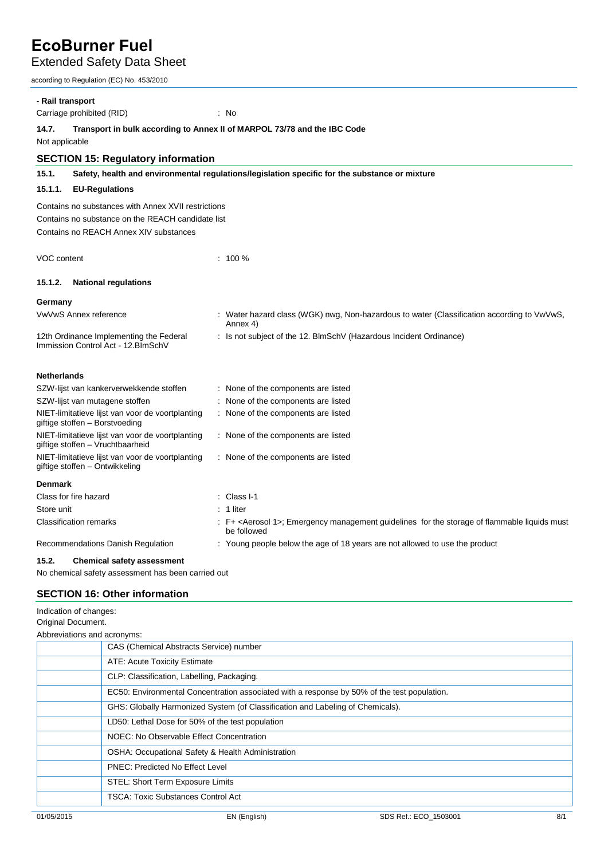Extended Safety Data Sheet

according to Regulation (EC) No. 453/2010

| - Rail transport                                                                                    |                                                                                                          |  |                                                                                                                          |  |
|-----------------------------------------------------------------------------------------------------|----------------------------------------------------------------------------------------------------------|--|--------------------------------------------------------------------------------------------------------------------------|--|
|                                                                                                     | Carriage prohibited (RID)                                                                                |  | : No                                                                                                                     |  |
| 14.7.<br>Transport in bulk according to Annex II of MARPOL 73/78 and the IBC Code<br>Not applicable |                                                                                                          |  |                                                                                                                          |  |
|                                                                                                     | <b>SECTION 15: Regulatory information</b>                                                                |  |                                                                                                                          |  |
| 15.1.                                                                                               |                                                                                                          |  | Safety, health and environmental regulations/legislation specific for the substance or mixture                           |  |
| 15.1.1.                                                                                             | <b>EU-Regulations</b>                                                                                    |  |                                                                                                                          |  |
|                                                                                                     | Contains no substances with Annex XVII restrictions<br>Contains no substance on the REACH candidate list |  |                                                                                                                          |  |
|                                                                                                     | Contains no REACH Annex XIV substances                                                                   |  |                                                                                                                          |  |
| VOC content                                                                                         |                                                                                                          |  | $: 100 \%$                                                                                                               |  |
| 15.1.2.                                                                                             | <b>National regulations</b>                                                                              |  |                                                                                                                          |  |
| Germany                                                                                             |                                                                                                          |  |                                                                                                                          |  |
|                                                                                                     | <b>VwVwS Annex reference</b>                                                                             |  | : Water hazard class (WGK) nwg, Non-hazardous to water (Classification according to VwVwS,<br>Annex 4)                   |  |
|                                                                                                     | 12th Ordinance Implementing the Federal<br>Immission Control Act - 12. BlmSchV                           |  | Is not subject of the 12. BlmSchV (Hazardous Incident Ordinance)                                                         |  |
| <b>Netherlands</b>                                                                                  |                                                                                                          |  |                                                                                                                          |  |
|                                                                                                     | SZW-lijst van kankerverwekkende stoffen                                                                  |  | : None of the components are listed                                                                                      |  |
|                                                                                                     | SZW-lijst van mutagene stoffen                                                                           |  | : None of the components are listed                                                                                      |  |
| NIET-limitatieve lijst van voor de voortplanting<br>giftige stoffen - Borstvoeding                  |                                                                                                          |  | None of the components are listed                                                                                        |  |
| NIET-limitatieve lijst van voor de voortplanting<br>giftige stoffen - Vruchtbaarheid                |                                                                                                          |  | : None of the components are listed                                                                                      |  |
| NIET-limitatieve lijst van voor de voortplanting<br>giftige stoffen - Ontwikkeling                  |                                                                                                          |  | : None of the components are listed                                                                                      |  |
| <b>Denmark</b>                                                                                      |                                                                                                          |  |                                                                                                                          |  |
| Class for fire hazard                                                                               |                                                                                                          |  | Class I-1                                                                                                                |  |
| Store unit                                                                                          |                                                                                                          |  | 1 liter                                                                                                                  |  |
| <b>Classification remarks</b>                                                                       |                                                                                                          |  | : F+ <aerosol 1="">; Emergency management guidelines for the storage of flammable liquids must<br/>be followed</aerosol> |  |
|                                                                                                     | Recommendations Danish Regulation                                                                        |  | : Young people below the age of 18 years are not allowed to use the product                                              |  |
| 15.2.                                                                                               | <b>Chemical safety assessment</b>                                                                        |  |                                                                                                                          |  |
|                                                                                                     | No chemical safety assessment has been carried out                                                       |  |                                                                                                                          |  |
|                                                                                                     | <b>SECTION 16: Other information</b>                                                                     |  |                                                                                                                          |  |
| Indication of changes:                                                                              |                                                                                                          |  |                                                                                                                          |  |

| Original Document.                                                                          |
|---------------------------------------------------------------------------------------------|
| Abbreviations and acronyms:                                                                 |
| CAS (Chemical Abstracts Service) number                                                     |
| ATE: Acute Toxicity Estimate                                                                |
| CLP: Classification, Labelling, Packaging.                                                  |
| EC50: Environmental Concentration associated with a response by 50% of the test population. |
| GHS: Globally Harmonized System (of Classification and Labeling of Chemicals).              |
| LD50: Lethal Dose for 50% of the test population                                            |
| NOEC: No Observable Effect Concentration                                                    |
| OSHA: Occupational Safety & Health Administration                                           |
| <b>PNEC: Predicted No Effect Level</b>                                                      |
| STEL: Short Term Exposure Limits                                                            |
| <b>TSCA: Toxic Substances Control Act</b>                                                   |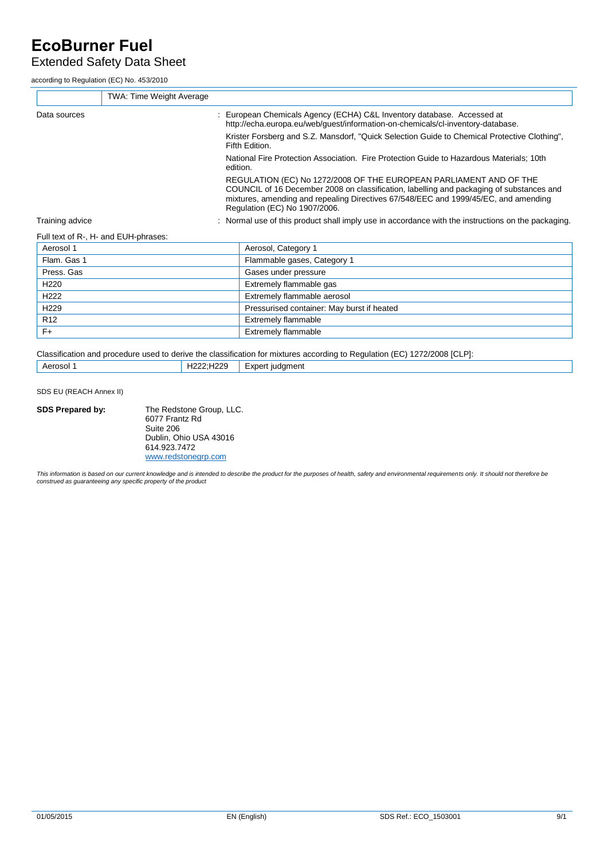## Extended Safety Data Sheet

according to Regulation (EC) No. 453/2010

| <b>TWA: Time Weight Average</b>      |                                                                                                                                                                                                                                                                                        |
|--------------------------------------|----------------------------------------------------------------------------------------------------------------------------------------------------------------------------------------------------------------------------------------------------------------------------------------|
| Data sources                         | : European Chemicals Agency (ECHA) C&L Inventory database. Accessed at<br>http://echa.europa.eu/web/quest/information-on-chemicals/cl-inventory-database.                                                                                                                              |
|                                      | Krister Forsberg and S.Z. Mansdorf, "Quick Selection Guide to Chemical Protective Clothing",<br>Fifth Edition.                                                                                                                                                                         |
|                                      | National Fire Protection Association. Fire Protection Guide to Hazardous Materials: 10th<br>edition.                                                                                                                                                                                   |
|                                      | REGULATION (EC) No 1272/2008 OF THE EUROPEAN PARLIAMENT AND OF THE<br>COUNCIL of 16 December 2008 on classification, labelling and packaging of substances and<br>mixtures, amending and repealing Directives 67/548/EEC and 1999/45/EC, and amending<br>Regulation (EC) No 1907/2006. |
| Training advice                      | : Normal use of this product shall imply use in accordance with the instructions on the packaging.                                                                                                                                                                                     |
| Full text of R-, H- and EUH-phrases: |                                                                                                                                                                                                                                                                                        |
| Aerosol 1                            | Aerosol, Category 1                                                                                                                                                                                                                                                                    |

| Aerosol 1        | Aerosol, Category 1                        |
|------------------|--------------------------------------------|
| Flam. Gas 1      | Flammable gases, Category 1                |
| Press, Gas       | Gases under pressure                       |
| H <sub>220</sub> | Extremely flammable gas                    |
| H <sub>222</sub> | Extremely flammable aerosol                |
| H <sub>229</sub> | Pressurised container: May burst if heated |
| R <sub>12</sub>  | Extremely flammable                        |
| F+               | Extremely flammable                        |

Classification and procedure used to derive the classification for mixtures according to Regulation (EC) 1272/2008 [CLP]: Aerosol 1 H222;H229 Expert judgment

SDS EU (REACH Annex II)

**SDS Prepared by:** The Redstone Group, LLC. 6077 Frantz Rd Suite 206 Dublin, Ohio USA 43016 614.923.7472 [www.redstonegrp.com](http://www.redstonegrp.com/)

This information is based on our current knowledge and is intended to describe the product for the purposes of health, safety and environmental requirements only. It should not therefore be<br>construed as guaranteeing any sp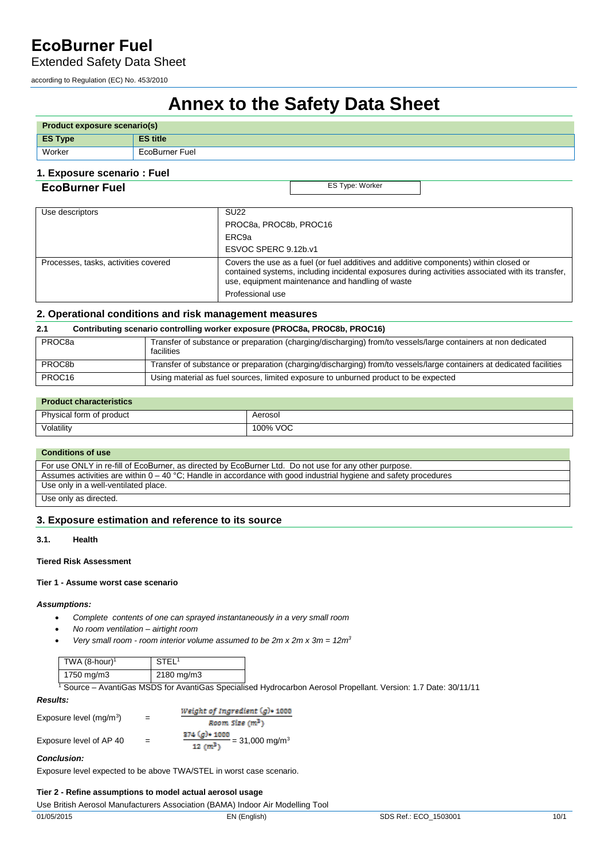Extended Safety Data Sheet

according to Regulation (EC) No. 453/2010

# **Annex to the Safety Data Sheet**

| <b>Product exposure scenario(s)</b> |                 |
|-------------------------------------|-----------------|
| $\vert$ ES Type                     | <b>ES title</b> |
| Worker                              | EcoBurner Fuel  |

## **1. Exposure scenario : Fuel**

## **ECOBUTNET FUEL** ES Type: Worker

| Use descriptors                      | <b>SU22</b>                                                                                                                                                                                                                                                        |
|--------------------------------------|--------------------------------------------------------------------------------------------------------------------------------------------------------------------------------------------------------------------------------------------------------------------|
|                                      | PROC8a, PROC8b, PROC16                                                                                                                                                                                                                                             |
|                                      | ERC <sub>9a</sub>                                                                                                                                                                                                                                                  |
|                                      | ESVOC SPERC 9.12b.v1                                                                                                                                                                                                                                               |
| Processes, tasks, activities covered | Covers the use as a fuel (or fuel additives and additive components) within closed or<br>contained systems, including incidental exposures during activities associated with its transfer,<br>use, equipment maintenance and handling of waste<br>Professional use |

## **2. Operational conditions and risk management measures**

## **2.1 Contributing scenario controlling worker exposure (PROC8a, PROC8b, PROC16)**

| PROC <sub>8a</sub>  | Transfer of substance or preparation (charging/discharging) from/to vessels/large containers at non dedicated<br>facilities |
|---------------------|-----------------------------------------------------------------------------------------------------------------------------|
| PROC <sub>8</sub> b | Transfer of substance or preparation (charging/discharging) from/to vessels/large containers at dedicated facilities        |
| PROC <sub>16</sub>  | Using material as fuel sources, limited exposure to unburned product to be expected                                         |

## **Product characteristics**

| Physical form of product | Aerosol                 |
|--------------------------|-------------------------|
| Volatility               | $\sim$ MOC.<br>100% VOC |

## **Conditions of use**

| For use ONLY in re-fill of EcoBurner, as directed by EcoBurner Ltd. Do not use for any other purpose.              |  |
|--------------------------------------------------------------------------------------------------------------------|--|
| Assumes activities are within $0 - 40$ °C; Handle in accordance with good industrial hygiene and safety procedures |  |
| Use only in a well-ventilated place.                                                                               |  |
| Use only as directed.                                                                                              |  |

## **3. Exposure estimation and reference to its source**

#### **3.1. Health**

#### **Tiered Risk Assessment**

#### **Tier 1 - Assume worst case scenario**

#### *Assumptions:*

- *Complete contents of one can sprayed instantaneously in a very small room*
- *No room ventilation airtight room*
- *Very small room room interior volume assumed to be 2m x 2m x 3m = 12m<sup>3</sup>*

| TWA $(8\text{-hour})^1$ | <b>STEL</b> |
|-------------------------|-------------|
| 1750 mg/m3              | 2180 mg/m3  |

1 Source – AvantiGas MSDS for AvantiGas Specialised Hydrocarbon Aerosol Propellant. Version: 1.7 Date: 30/11/11

| <b>Results:</b>           |     |                                                                            |
|---------------------------|-----|----------------------------------------------------------------------------|
|                           | $=$ | Weight of Ingredient $(g)$ + 1000                                          |
| Exposure level $(mq/m^3)$ |     | Room Size $(m^3)$                                                          |
| Exposure level of AP 40   |     | $374 (g)$ + 1000<br>$\frac{1}{10 \text{ cm}^3}$ = 31,000 mg/m <sup>3</sup> |

## *Conclusion:*

Exposure level expected to be above TWA/STEL in worst case scenario.

## **Tier 2 - Refine assumptions to model actual aerosol usage**

Use British Aerosol Manufacturers Association (BAMA) Indoor Air Modelling Tool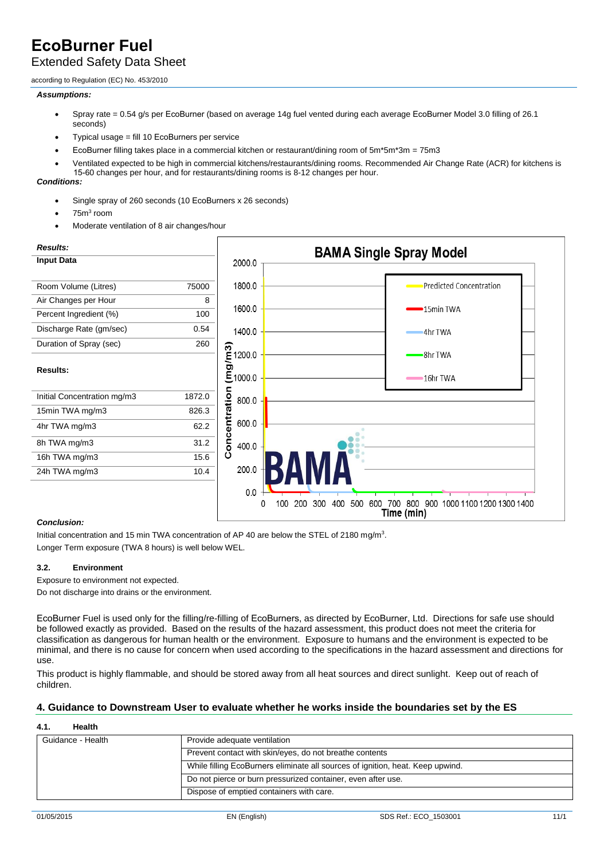## Extended Safety Data Sheet

according to Regulation (EC) No. 453/2010

## *Assumptions:*

- Spray rate = 0.54 g/s per EcoBurner (based on average 14g fuel vented during each average EcoBurner Model 3.0 filling of 26.1 seconds)
- Typical usage = fill 10 EcoBurners per service
- EcoBurner filling takes place in a commercial kitchen or restaurant/dining room of 5m\*5m\*3m = 75m3
- Ventilated expected to be high in commercial kitchens/restaurants/dining rooms. Recommended Air Change Rate (ACR) for kitchens is 15-60 changes per hour, and for restaurants/dining rooms is 8-12 changes per hour.

## *Conditions:*

- Single spray of 260 seconds (10 EcoBurners x 26 seconds)
- $\bullet$  75m<sup>3</sup> room
- Moderate ventilation of 8 air changes/hour



## *Conclusion:*

Initial concentration and 15 min TWA concentration of AP 40 are below the STEL of 2180 mg/m<sup>3</sup>. Longer Term exposure (TWA 8 hours) is well below WEL.

## **3.2. Environment**

Exposure to environment not expected.

Do not discharge into drains or the environment.

EcoBurner Fuel is used only for the filling/re-filling of EcoBurners, as directed by EcoBurner, Ltd. Directions for safe use should be followed exactly as provided. Based on the results of the hazard assessment, this product does not meet the criteria for classification as dangerous for human health or the environment. Exposure to humans and the environment is expected to be minimal, and there is no cause for concern when used according to the specifications in the hazard assessment and directions for use.

This product is highly flammable, and should be stored away from all heat sources and direct sunlight. Keep out of reach of children.

## **4. Guidance to Downstream User to evaluate whether he works inside the boundaries set by the ES**

## **4.1. Health**

| Guidance - Health | Provide adequate ventilation                                                   |
|-------------------|--------------------------------------------------------------------------------|
|                   | Prevent contact with skin/eyes, do not breathe contents                        |
|                   | While filling EcoBurners eliminate all sources of ignition, heat. Keep upwind. |
|                   | Do not pierce or burn pressurized container, even after use.                   |
|                   | Dispose of emptied containers with care.                                       |